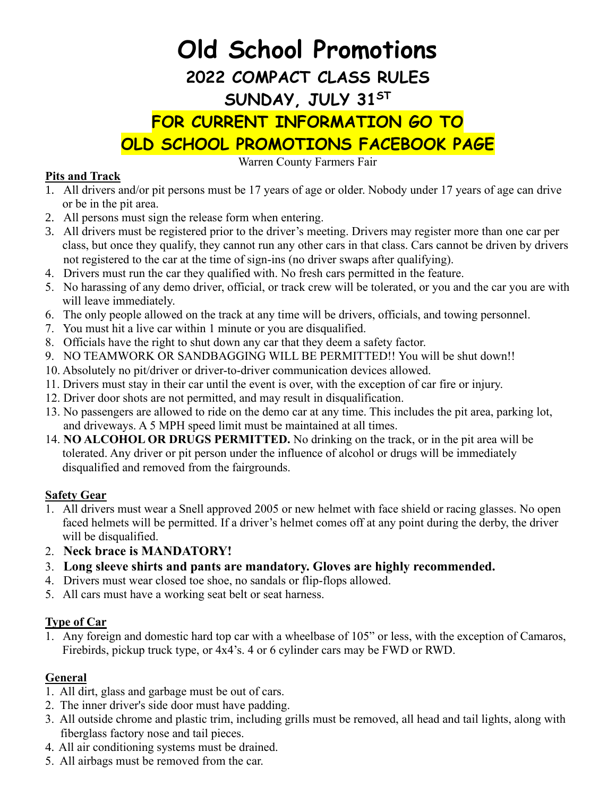# **Old School Promotions 2022 COMPACT CLASS RULES SUNDAY, JULY 31ST FOR CURRENT INFORMATION GO TO OLD SCHOOL PROMOTIONS FACEBOOK PAGE**

Warren County Farmers Fair

#### **Pits and Track**

- 1. All drivers and/or pit persons must be 17 years of age or older. Nobody under 17 years of age can drive or be in the pit area.
- 2. All persons must sign the release form when entering.
- 3. All drivers must be registered prior to the driver's meeting. Drivers may register more than one car per class, but once they qualify, they cannot run any other cars in that class. Cars cannot be driven by drivers not registered to the car at the time of sign-ins (no driver swaps after qualifying).
- 4. Drivers must run the car they qualified with. No fresh cars permitted in the feature.
- 5. No harassing of any demo driver, official, or track crew will be tolerated, or you and the car you are with will leave immediately.
- 6. The only people allowed on the track at any time will be drivers, officials, and towing personnel.
- 7. You must hit a live car within 1 minute or you are disqualified.
- 8. Officials have the right to shut down any car that they deem a safety factor.
- 9. NO TEAMWORK OR SANDBAGGING WILL BE PERMITTED!! You will be shut down!!
- 10. Absolutely no pit/driver or driver-to-driver communication devices allowed.
- 11. Drivers must stay in their car until the event is over, with the exception of car fire or injury.
- 12. Driver door shots are not permitted, and may result in disqualification.
- 13. No passengers are allowed to ride on the demo car at any time. This includes the pit area, parking lot, and driveways. A 5 MPH speed limit must be maintained at all times.
- 14. **NO ALCOHOL OR DRUGS PERMITTED.** No drinking on the track, or in the pit area will be tolerated. Any driver or pit person under the influence of alcohol or drugs will be immediately disqualified and removed from the fairgrounds.

### **Safety Gear**

- 1. All drivers must wear a Snell approved 2005 or new helmet with face shield or racing glasses. No open faced helmets will be permitted. If a driver's helmet comes off at any point during the derby, the driver will be disqualified.
- 2. **Neck brace is MANDATORY!**
- 3. **Long sleeve shirts and pants are mandatory. Gloves are highly recommended.**
- 4. Drivers must wear closed toe shoe, no sandals or flip-flops allowed.
- 5. All cars must have a working seat belt or seat harness.

### **Type of Car**

1. Any foreign and domestic hard top car with a wheelbase of 105" or less, with the exception of Camaros, Firebirds, pickup truck type, or 4x4's. 4 or 6 cylinder cars may be FWD or RWD.

### **General**

- 1. All dirt, glass and garbage must be out of cars.
- 2. The inner driver's side door must have padding.
- 3. All outside chrome and plastic trim, including grills must be removed, all head and tail lights, along with fiberglass factory nose and tail pieces.
- 4. All air conditioning systems must be drained.
- 5. All airbags must be removed from the car.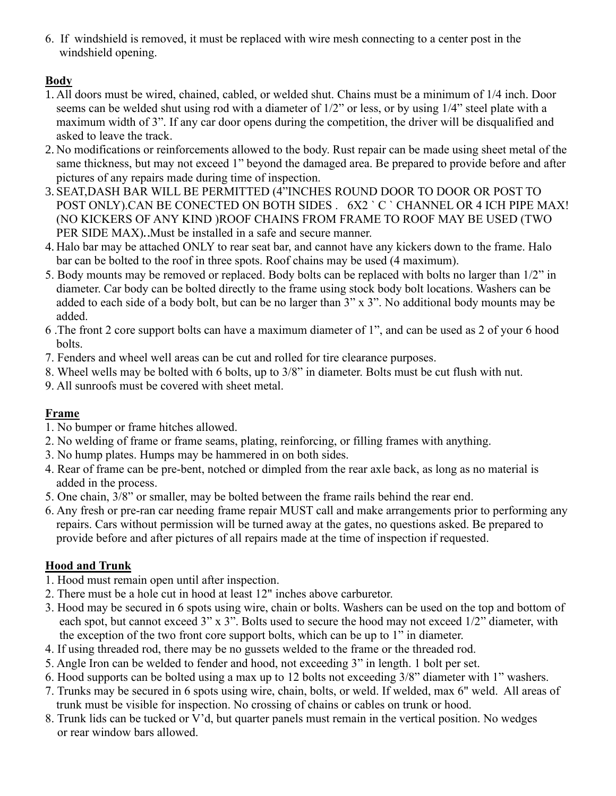6. If windshield is removed, it must be replaced with wire mesh connecting to a center post in the windshield opening.

## **Body**

- 1. All doors must be wired, chained, cabled, or welded shut. Chains must be a minimum of 1/4 inch. Door seems can be welded shut using rod with a diameter of 1/2" or less, or by using 1/4" steel plate with a maximum width of 3". If any car door opens during the competition, the driver will be disqualified and asked to leave the track.
- 2. No modifications or reinforcements allowed to the body. Rust repair can be made using sheet metal of the same thickness, but may not exceed 1" beyond the damaged area. Be prepared to provide before and after pictures of any repairs made during time of inspection.
- 3. SEAT,DASH BAR WILL BE PERMITTED (4"INCHES ROUND DOOR TO DOOR OR POST TO POST ONLY).CAN BE CONECTED ON BOTH SIDES . 6X2 ` C ` CHANNEL OR 4 ICH PIPE MAX! (NO KICKERS OF ANY KIND )ROOF CHAINS FROM FRAME TO ROOF MAY BE USED (TWO PER SIDE MAX). Must be installed in a safe and secure manner.
- 4. Halo bar may be attached ONLY to rear seat bar, and cannot have any kickers down to the frame. Halo bar can be bolted to the roof in three spots. Roof chains may be used (4 maximum).
- 5. Body mounts may be removed or replaced. Body bolts can be replaced with bolts no larger than 1/2" in diameter. Car body can be bolted directly to the frame using stock body bolt locations. Washers can be added to each side of a body bolt, but can be no larger than 3" x 3". No additional body mounts may be added.
- 6 .The front 2 core support bolts can have a maximum diameter of 1", and can be used as 2 of your 6 hood bolts.
- 7. Fenders and wheel well areas can be cut and rolled for tire clearance purposes.
- 8. Wheel wells may be bolted with 6 bolts, up to 3/8" in diameter. Bolts must be cut flush with nut.
- 9. All sunroofs must be covered with sheet metal.

## **Frame**

- 1. No bumper or frame hitches allowed.
- 2. No welding of frame or frame seams, plating, reinforcing, or filling frames with anything.
- 3. No hump plates. Humps may be hammered in on both sides.
- 4. Rear of frame can be pre-bent, notched or dimpled from the rear axle back, as long as no material is added in the process.
- 5. One chain, 3/8" or smaller, may be bolted between the frame rails behind the rear end.
- 6. Any fresh or pre-ran car needing frame repair MUST call and make arrangements prior to performing any repairs. Cars without permission will be turned away at the gates, no questions asked. Be prepared to provide before and after pictures of all repairs made at the time of inspection if requested.

## **Hood and Trunk**

- 1. Hood must remain open until after inspection.
- 2. There must be a hole cut in hood at least 12" inches above carburetor.
- 3. Hood may be secured in 6 spots using wire, chain or bolts. Washers can be used on the top and bottom of each spot, but cannot exceed 3" x 3". Bolts used to secure the hood may not exceed 1/2" diameter, with the exception of the two front core support bolts, which can be up to 1" in diameter.
- 4. If using threaded rod, there may be no gussets welded to the frame or the threaded rod.
- 5. Angle Iron can be welded to fender and hood, not exceeding 3" in length. 1 bolt per set.
- 6. Hood supports can be bolted using a max up to 12 bolts not exceeding 3/8" diameter with 1" washers.
- 7. Trunks may be secured in 6 spots using wire, chain, bolts, or weld. If welded, max 6" weld. All areas of trunk must be visible for inspection. No crossing of chains or cables on trunk or hood.
- 8. Trunk lids can be tucked or V'd, but quarter panels must remain in the vertical position. No wedges or rear window bars allowed.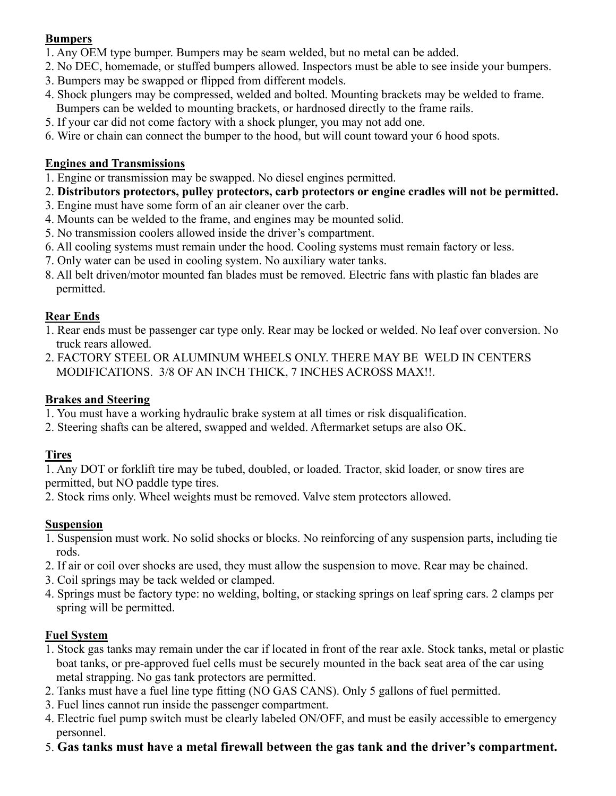#### **Bumpers**

- 1. Any OEM type bumper. Bumpers may be seam welded, but no metal can be added.
- 2. No DEC, homemade, or stuffed bumpers allowed. Inspectors must be able to see inside your bumpers.
- 3. Bumpers may be swapped or flipped from different models.
- 4. Shock plungers may be compressed, welded and bolted. Mounting brackets may be welded to frame.
- Bumpers can be welded to mounting brackets, or hardnosed directly to the frame rails.
- 5. If your car did not come factory with a shock plunger, you may not add one.
- 6. Wire or chain can connect the bumper to the hood, but will count toward your 6 hood spots.

## **Engines and Transmissions**

- 1. Engine or transmission may be swapped. No diesel engines permitted.
- 2. **Distributors protectors, pulley protectors, carb protectors or engine cradles will not be permitted.**
- 3. Engine must have some form of an air cleaner over the carb.
- 4. Mounts can be welded to the frame, and engines may be mounted solid.
- 5. No transmission coolers allowed inside the driver's compartment.
- 6. All cooling systems must remain under the hood. Cooling systems must remain factory or less.
- 7. Only water can be used in cooling system. No auxiliary water tanks.
- 8. All belt driven/motor mounted fan blades must be removed. Electric fans with plastic fan blades are permitted.

## **Rear Ends**

- 1. Rear ends must be passenger car type only. Rear may be locked or welded. No leaf over conversion. No truck rears allowed.
- 2. FACTORY STEEL OR ALUMINUM WHEELS ONLY. THERE MAY BE WELD IN CENTERS MODIFICATIONS. 3/8 OF AN INCH THICK, 7 INCHES ACROSS MAX!!.

## **Brakes and Steering**

- 1. You must have a working hydraulic brake system at all times or risk disqualification.
- 2. Steering shafts can be altered, swapped and welded. Aftermarket setups are also OK.

## **Tires**

1. Any DOT or forklift tire may be tubed, doubled, or loaded. Tractor, skid loader, or snow tires are permitted, but NO paddle type tires.

2. Stock rims only. Wheel weights must be removed. Valve stem protectors allowed.

## **Suspension**

- 1. Suspension must work. No solid shocks or blocks. No reinforcing of any suspension parts, including tie rods.
- 2. If air or coil over shocks are used, they must allow the suspension to move. Rear may be chained.
- 3. Coil springs may be tack welded or clamped.
- 4. Springs must be factory type: no welding, bolting, or stacking springs on leaf spring cars. 2 clamps per spring will be permitted.

## **Fuel System**

- 1. Stock gas tanks may remain under the car if located in front of the rear axle. Stock tanks, metal or plastic boat tanks, or pre-approved fuel cells must be securely mounted in the back seat area of the car using metal strapping. No gas tank protectors are permitted.
- 2. Tanks must have a fuel line type fitting (NO GAS CANS). Only 5 gallons of fuel permitted.
- 3. Fuel lines cannot run inside the passenger compartment.
- 4. Electric fuel pump switch must be clearly labeled ON/OFF, and must be easily accessible to emergency personnel.
- 5. **Gas tanks must have a metal firewall between the gas tank and the driver's compartment.**